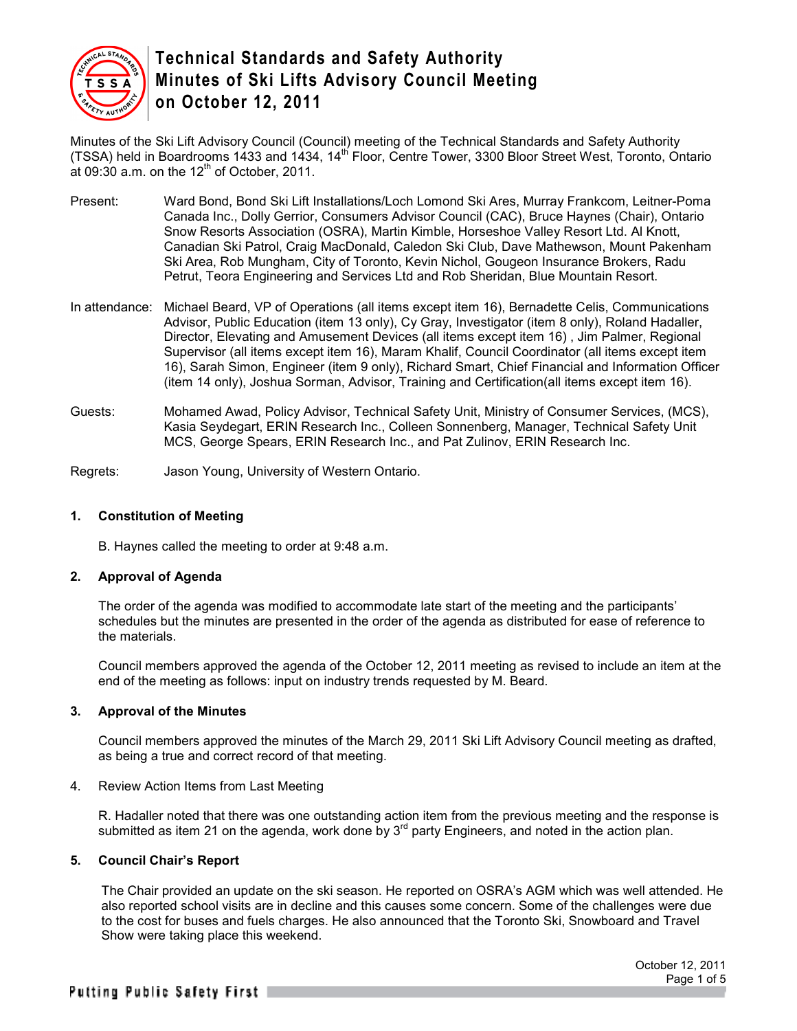

Minutes of the Ski Lift Advisory Council (Council) meeting of the Technical Standards and Safety Authority (TSSA) held in Boardrooms 1433 and 1434, 14<sup>th</sup> Floor, Centre Tower, 3300 Bloor Street West, Toronto, Ontario at 09:30 a.m. on the  $12<sup>th</sup>$  of October, 2011.

- Present: Ward Bond, Bond Ski Lift Installations/Loch Lomond Ski Ares, Murray Frankcom, Leitner-Poma Canada Inc., Dolly Gerrior, Consumers Advisor Council (CAC), Bruce Haynes (Chair), Ontario Snow Resorts Association (OSRA), Martin Kimble, Horseshoe Valley Resort Ltd. Al Knott, Canadian Ski Patrol, Craig MacDonald, Caledon Ski Club, Dave Mathewson, Mount Pakenham Ski Area, Rob Mungham, City of Toronto, Kevin Nichol, Gougeon Insurance Brokers, Radu Petrut, Teora Engineering and Services Ltd and Rob Sheridan, Blue Mountain Resort.
- In attendance: Michael Beard, VP of Operations (all items except item 16), Bernadette Celis, Communications Advisor, Public Education (item 13 only), Cy Gray, Investigator (item 8 only), Roland Hadaller, Director, Elevating and Amusement Devices (all items except item 16) , Jim Palmer, Regional Supervisor (all items except item 16), Maram Khalif, Council Coordinator (all items except item 16), Sarah Simon, Engineer (item 9 only), Richard Smart, Chief Financial and Information Officer (item 14 only), Joshua Sorman, Advisor, Training and Certification(all items except item 16).
- Guests: Mohamed Awad, Policy Advisor, Technical Safety Unit, Ministry of Consumer Services, (MCS), Kasia Seydegart, ERIN Research Inc., Colleen Sonnenberg, Manager, Technical Safety Unit MCS, George Spears, ERIN Research Inc., and Pat Zulinov, ERIN Research Inc.

Regrets: Jason Young, University of Western Ontario.

## **1. Constitution of Meeting**

B. Haynes called the meeting to order at 9:48 a.m.

## **2. Approval of Agenda**

The order of the agenda was modified to accommodate late start of the meeting and the participants' schedules but the minutes are presented in the order of the agenda as distributed for ease of reference to the materials.

Council members approved the agenda of the October 12, 2011 meeting as revised to include an item at the end of the meeting as follows: input on industry trends requested by M. Beard.

## **3. Approval of the Minutes**

Council members approved the minutes of the March 29, 2011 Ski Lift Advisory Council meeting as drafted, as being a true and correct record of that meeting.

## 4. Review Action Items from Last Meeting

R. Hadaller noted that there was one outstanding action item from the previous meeting and the response is submitted as item 21 on the agenda, work done by  $3<sup>rd</sup>$  party Engineers, and noted in the action plan.

## **5. Council Chair's Report**

The Chair provided an update on the ski season. He reported on OSRA's AGM which was well attended. He also reported school visits are in decline and this causes some concern. Some of the challenges were due to the cost for buses and fuels charges. He also announced that the Toronto Ski, Snowboard and Travel Show were taking place this weekend.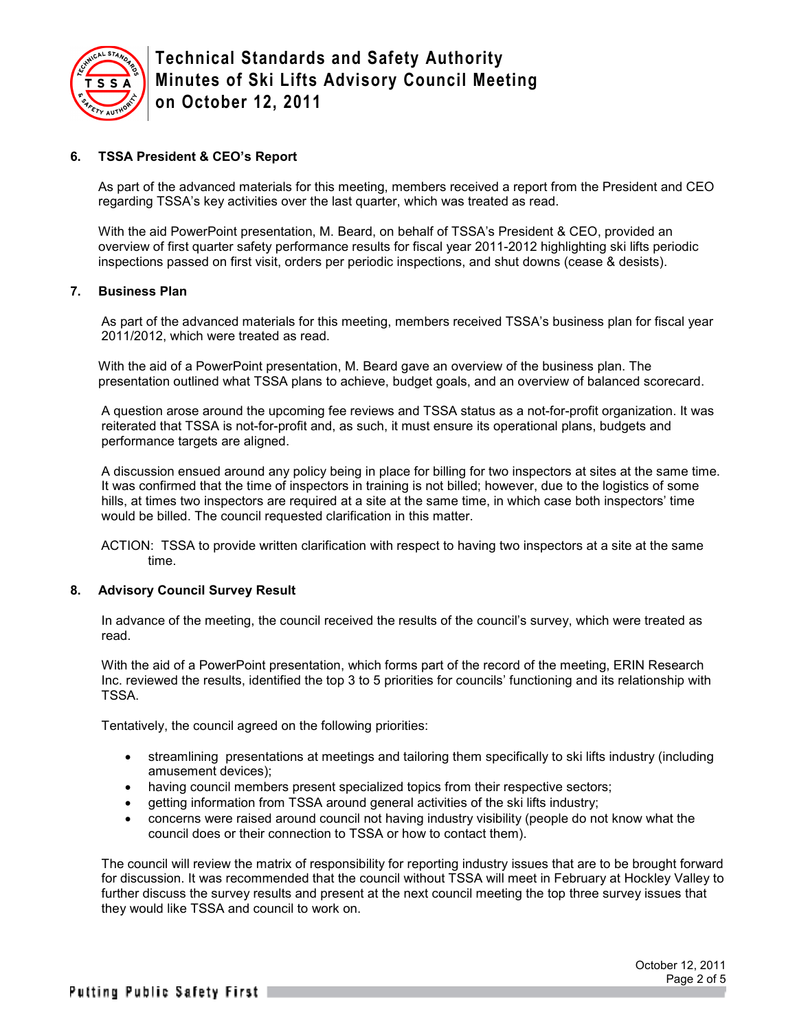

## **6. TSSA President & CEO's Report**

As part of the advanced materials for this meeting, members received a report from the President and CEO regarding TSSA's key activities over the last quarter, which was treated as read.

With the aid PowerPoint presentation, M. Beard, on behalf of TSSA's President & CEO, provided an overview of first quarter safety performance results for fiscal year 2011-2012 highlighting ski lifts periodic inspections passed on first visit, orders per periodic inspections, and shut downs (cease & desists).

## **7. Business Plan**

As part of the advanced materials for this meeting, members received TSSA's business plan for fiscal year 2011/2012, which were treated as read.

With the aid of a PowerPoint presentation, M. Beard gave an overview of the business plan. The presentation outlined what TSSA plans to achieve, budget goals, and an overview of balanced scorecard.

A question arose around the upcoming fee reviews and TSSA status as a not-for-profit organization. It was reiterated that TSSA is not-for-profit and, as such, it must ensure its operational plans, budgets and performance targets are aligned.

A discussion ensued around any policy being in place for billing for two inspectors at sites at the same time. It was confirmed that the time of inspectors in training is not billed; however, due to the logistics of some hills, at times two inspectors are required at a site at the same time, in which case both inspectors' time would be billed. The council requested clarification in this matter.

ACTION: TSSA to provide written clarification with respect to having two inspectors at a site at the same time.

## **8. Advisory Council Survey Result**

In advance of the meeting, the council received the results of the council's survey, which were treated as read.

With the aid of a PowerPoint presentation, which forms part of the record of the meeting, ERIN Research Inc. reviewed the results, identified the top 3 to 5 priorities for councils' functioning and its relationship with TSSA.

Tentatively, the council agreed on the following priorities:

- streamlining presentations at meetings and tailoring them specifically to ski lifts industry (including amusement devices);
- having council members present specialized topics from their respective sectors;
- getting information from TSSA around general activities of the ski lifts industry;
- concerns were raised around council not having industry visibility (people do not know what the council does or their connection to TSSA or how to contact them).

The council will review the matrix of responsibility for reporting industry issues that are to be brought forward for discussion. It was recommended that the council without TSSA will meet in February at Hockley Valley to further discuss the survey results and present at the next council meeting the top three survey issues that they would like TSSA and council to work on.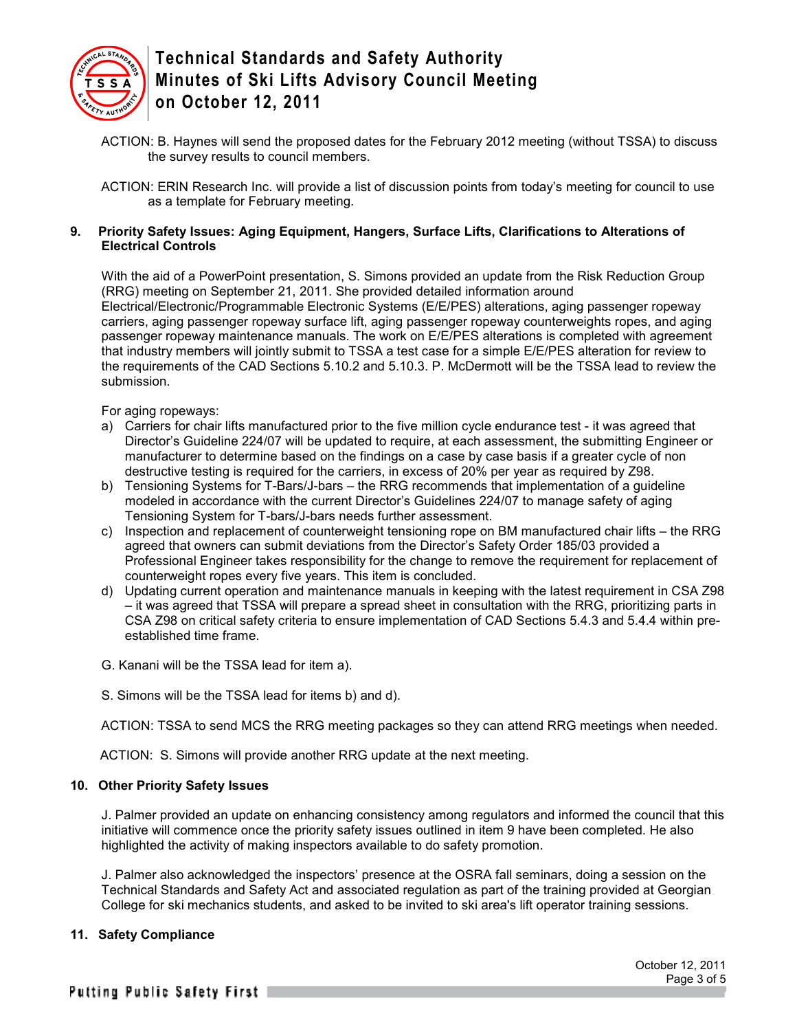

ACTION: B. Haynes will send the proposed dates for the February 2012 meeting (without TSSA) to discuss the survey results to council members.

ACTION: ERIN Research Inc. will provide a list of discussion points from today's meeting for council to use as a template for February meeting.

## **9. Priority Safety Issues: Aging Equipment, Hangers, Surface Lifts, Clarifications to Alterations of Electrical Controls**

With the aid of a PowerPoint presentation, S. Simons provided an update from the Risk Reduction Group (RRG) meeting on September 21, 2011. She provided detailed information around Electrical/Electronic/Programmable Electronic Systems (E/E/PES) alterations, aging passenger ropeway carriers, aging passenger ropeway surface lift, aging passenger ropeway counterweights ropes, and aging passenger ropeway maintenance manuals. The work on E/E/PES alterations is completed with agreement that industry members will jointly submit to TSSA a test case for a simple E/E/PES alteration for review to the requirements of the CAD Sections 5.10.2 and 5.10.3. P. McDermott will be the TSSA lead to review the submission.

For aging ropeways:

- a) Carriers for chair lifts manufactured prior to the five million cycle endurance test it was agreed that Director's Guideline 224/07 will be updated to require, at each assessment, the submitting Engineer or manufacturer to determine based on the findings on a case by case basis if a greater cycle of non destructive testing is required for the carriers, in excess of 20% per year as required by Z98.
- b) Tensioning Systems for T-Bars/J-bars the RRG recommends that implementation of a guideline modeled in accordance with the current Director's Guidelines 224/07 to manage safety of aging Tensioning System for T-bars/J-bars needs further assessment.
- c) Inspection and replacement of counterweight tensioning rope on BM manufactured chair lifts the RRG agreed that owners can submit deviations from the Director's Safety Order 185/03 provided a Professional Engineer takes responsibility for the change to remove the requirement for replacement of counterweight ropes every five years. This item is concluded.
- d) Updating current operation and maintenance manuals in keeping with the latest requirement in CSA Z98 – it was agreed that TSSA will prepare a spread sheet in consultation with the RRG, prioritizing parts in CSA Z98 on critical safety criteria to ensure implementation of CAD Sections 5.4.3 and 5.4.4 within preestablished time frame.
- G. Kanani will be the TSSA lead for item a).
- S. Simons will be the TSSA lead for items b) and d).

ACTION: TSSA to send MCS the RRG meeting packages so they can attend RRG meetings when needed.

ACTION: S. Simons will provide another RRG update at the next meeting.

## **10. Other Priority Safety Issues**

J. Palmer provided an update on enhancing consistency among regulators and informed the council that this initiative will commence once the priority safety issues outlined in item 9 have been completed. He also highlighted the activity of making inspectors available to do safety promotion.

J. Palmer also acknowledged the inspectors' presence at the OSRA fall seminars, doing a session on the Technical Standards and Safety Act and associated regulation as part of the training provided at Georgian College for ski mechanics students, and asked to be invited to ski area's lift operator training sessions.

## **11. Safety Compliance**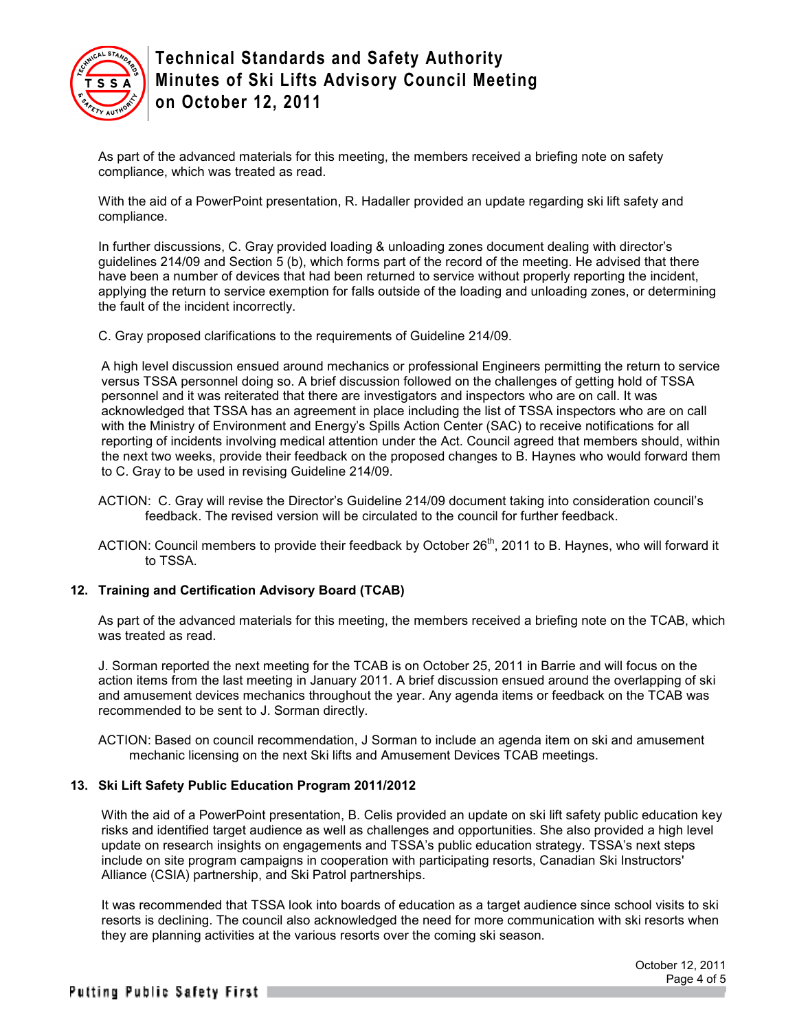

As part of the advanced materials for this meeting, the members received a briefing note on safety compliance, which was treated as read.

With the aid of a PowerPoint presentation, R. Hadaller provided an update regarding ski lift safety and compliance.

In further discussions, C. Gray provided loading & unloading zones document dealing with director's guidelines 214/09 and Section 5 (b), which forms part of the record of the meeting. He advised that there have been a number of devices that had been returned to service without properly reporting the incident, applying the return to service exemption for falls outside of the loading and unloading zones, or determining the fault of the incident incorrectly.

C. Gray proposed clarifications to the requirements of Guideline 214/09.

A high level discussion ensued around mechanics or professional Engineers permitting the return to service versus TSSA personnel doing so. A brief discussion followed on the challenges of getting hold of TSSA personnel and it was reiterated that there are investigators and inspectors who are on call. It was acknowledged that TSSA has an agreement in place including the list of TSSA inspectors who are on call with the Ministry of Environment and Energy's Spills Action Center (SAC) to receive notifications for all reporting of incidents involving medical attention under the Act. Council agreed that members should, within the next two weeks, provide their feedback on the proposed changes to B. Haynes who would forward them to C. Gray to be used in revising Guideline 214/09.

- ACTION: C. Gray will revise the Director's Guideline 214/09 document taking into consideration council's feedback. The revised version will be circulated to the council for further feedback.
- ACTION: Council members to provide their feedback by October  $26<sup>th</sup>$ , 2011 to B. Haynes, who will forward it to TSSA.

## **12. Training and Certification Advisory Board (TCAB)**

As part of the advanced materials for this meeting, the members received a briefing note on the TCAB, which was treated as read.

J. Sorman reported the next meeting for the TCAB is on October 25, 2011 in Barrie and will focus on the action items from the last meeting in January 2011. A brief discussion ensued around the overlapping of ski and amusement devices mechanics throughout the year. Any agenda items or feedback on the TCAB was recommended to be sent to J. Sorman directly.

ACTION: Based on council recommendation, J Sorman to include an agenda item on ski and amusement mechanic licensing on the next Ski lifts and Amusement Devices TCAB meetings.

## **13. Ski Lift Safety Public Education Program 2011/2012**

With the aid of a PowerPoint presentation, B. Celis provided an update on ski lift safety public education key risks and identified target audience as well as challenges and opportunities. She also provided a high level update on research insights on engagements and TSSA's public education strategy. TSSA's next steps include on site program campaigns in cooperation with participating resorts, Canadian Ski Instructors' Alliance (CSIA) partnership, and Ski Patrol partnerships.

It was recommended that TSSA look into boards of education as a target audience since school visits to ski resorts is declining. The council also acknowledged the need for more communication with ski resorts when they are planning activities at the various resorts over the coming ski season.